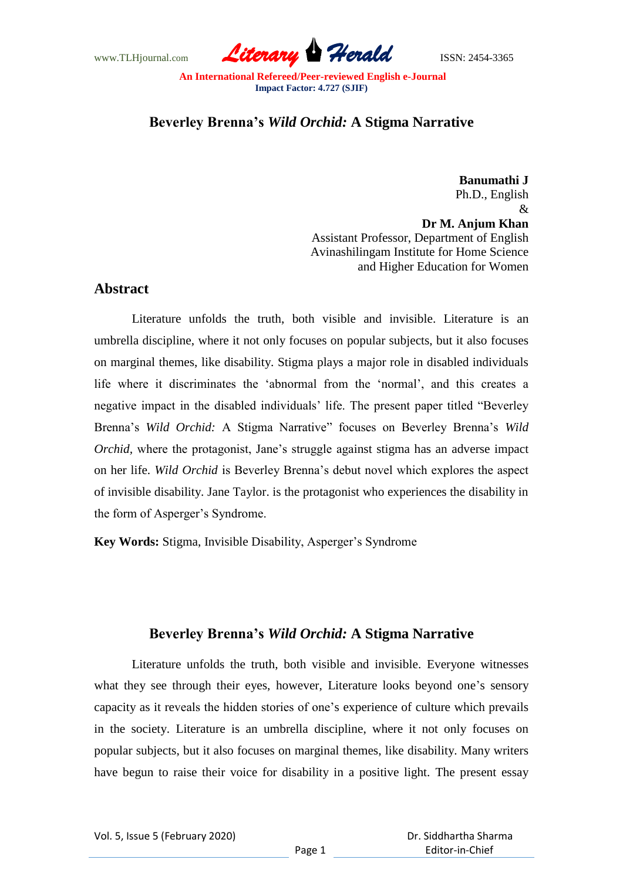www.TLHjournal.com *Literary Herald*ISSN: 2454-3365

# **Beverley Brenna's** *Wild Orchid:* **A Stigma Narrative**

**Banumathi J** Ph.D., English  $\mathcal{R}$ **Dr M. Anjum Khan** Assistant Professor, Department of English Avinashilingam Institute for Home Science and Higher Education for Women

## **Abstract**

Literature unfolds the truth, both visible and invisible. Literature is an umbrella discipline, where it not only focuses on popular subjects, but it also focuses on marginal themes, like disability. Stigma plays a major role in disabled individuals life where it discriminates the "abnormal from the "normal", and this creates a negative impact in the disabled individuals" life. The present paper titled "Beverley Brenna"s *Wild Orchid:* A Stigma Narrative" focuses on Beverley Brenna"s *Wild Orchid*, where the protagonist, Jane's struggle against stigma has an adverse impact on her life. *Wild Orchid* is Beverley Brenna"s debut novel which explores the aspect of invisible disability. Jane Taylor. is the protagonist who experiences the disability in the form of Asperger's Syndrome.

**Key Words:** Stigma, Invisible Disability, Asperger's Syndrome

## **Beverley Brenna's** *Wild Orchid:* **A Stigma Narrative**

Literature unfolds the truth, both visible and invisible. Everyone witnesses what they see through their eyes, however, Literature looks beyond one"s sensory capacity as it reveals the hidden stories of one"s experience of culture which prevails in the society. Literature is an umbrella discipline, where it not only focuses on popular subjects, but it also focuses on marginal themes, like disability. Many writers have begun to raise their voice for disability in a positive light. The present essay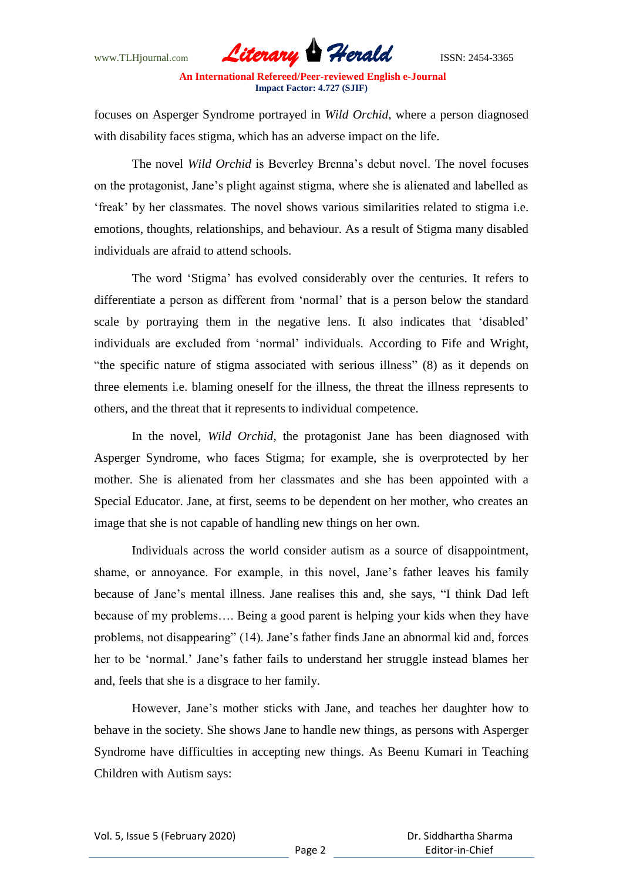

focuses on Asperger Syndrome portrayed in *Wild Orchid*, where a person diagnosed with disability faces stigma, which has an adverse impact on the life.

The novel *Wild Orchid* is Beverley Brenna"s debut novel. The novel focuses on the protagonist, Jane"s plight against stigma, where she is alienated and labelled as "freak" by her classmates. The novel shows various similarities related to stigma i.e. emotions, thoughts, relationships, and behaviour. As a result of Stigma many disabled individuals are afraid to attend schools.

The word "Stigma" has evolved considerably over the centuries. It refers to differentiate a person as different from "normal" that is a person below the standard scale by portraying them in the negative lens. It also indicates that "disabled" individuals are excluded from "normal" individuals. According to Fife and Wright, "the specific nature of stigma associated with serious illness" (8) as it depends on three elements i.e. blaming oneself for the illness, the threat the illness represents to others, and the threat that it represents to individual competence.

In the novel, *Wild Orchid*, the protagonist Jane has been diagnosed with Asperger Syndrome, who faces Stigma; for example, she is overprotected by her mother. She is alienated from her classmates and she has been appointed with a Special Educator. Jane, at first, seems to be dependent on her mother, who creates an image that she is not capable of handling new things on her own.

Individuals across the world consider autism as a source of disappointment, shame, or annoyance. For example, in this novel, Jane"s father leaves his family because of Jane"s mental illness. Jane realises this and, she says, "I think Dad left because of my problems…. Being a good parent is helping your kids when they have problems, not disappearing" (14). Jane"s father finds Jane an abnormal kid and, forces her to be "normal." Jane"s father fails to understand her struggle instead blames her and, feels that she is a disgrace to her family.

However, Jane"s mother sticks with Jane, and teaches her daughter how to behave in the society. She shows Jane to handle new things, as persons with Asperger Syndrome have difficulties in accepting new things. As Beenu Kumari in Teaching Children with Autism says: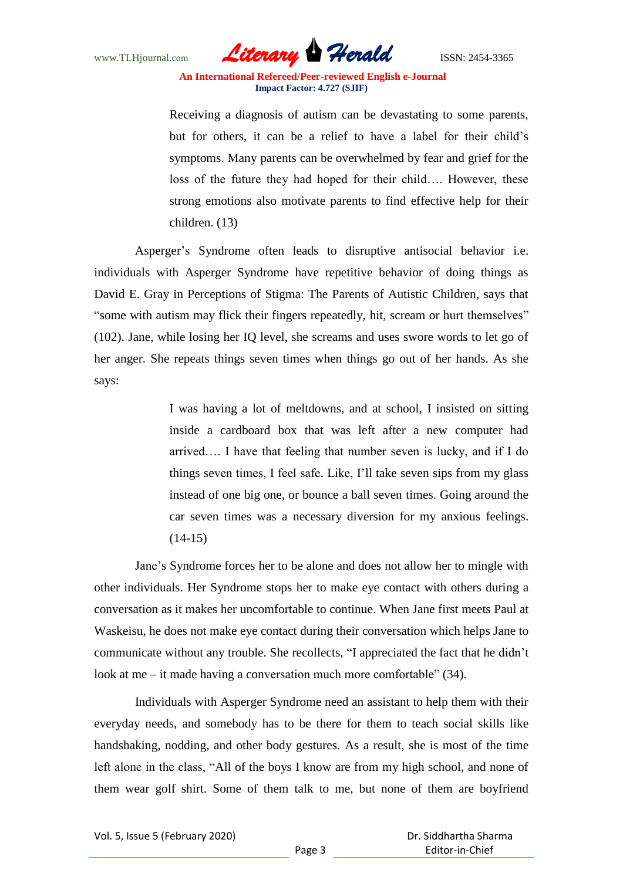

Receiving a diagnosis of autism can be devastating to some parents, but for others, it can be a relief to have a label for their child"s symptoms. Many parents can be overwhelmed by fear and grief for the loss of the future they had hoped for their child…. However, these strong emotions also motivate parents to find effective help for their children. (13)

Asperger"s Syndrome often leads to disruptive antisocial behavior i.e. individuals with Asperger Syndrome have repetitive behavior of doing things as David E. Gray in Perceptions of Stigma: The Parents of Autistic Children, says that "some with autism may flick their fingers repeatedly, hit, scream or hurt themselves" (102). Jane, while losing her IQ level, she screams and uses swore words to let go of her anger. She repeats things seven times when things go out of her hands. As she says:

> I was having a lot of meltdowns, and at school, I insisted on sitting inside a cardboard box that was left after a new computer had arrived…. I have that feeling that number seven is lucky, and if I do things seven times, I feel safe. Like, I"ll take seven sips from my glass instead of one big one, or bounce a ball seven times. Going around the car seven times was a necessary diversion for my anxious feelings.  $(14-15)$

Jane"s Syndrome forces her to be alone and does not allow her to mingle with other individuals. Her Syndrome stops her to make eye contact with others during a conversation as it makes her uncomfortable to continue. When Jane first meets Paul at Waskeisu, he does not make eye contact during their conversation which helps Jane to communicate without any trouble. She recollects, "I appreciated the fact that he didn"t look at me – it made having a conversation much more comfortable" (34).

Individuals with Asperger Syndrome need an assistant to help them with their everyday needs, and somebody has to be there for them to teach social skills like handshaking, nodding, and other body gestures. As a result, she is most of the time left alone in the class, "All of the boys I know are from my high school, and none of them wear golf shirt. Some of them talk to me, but none of them are boyfriend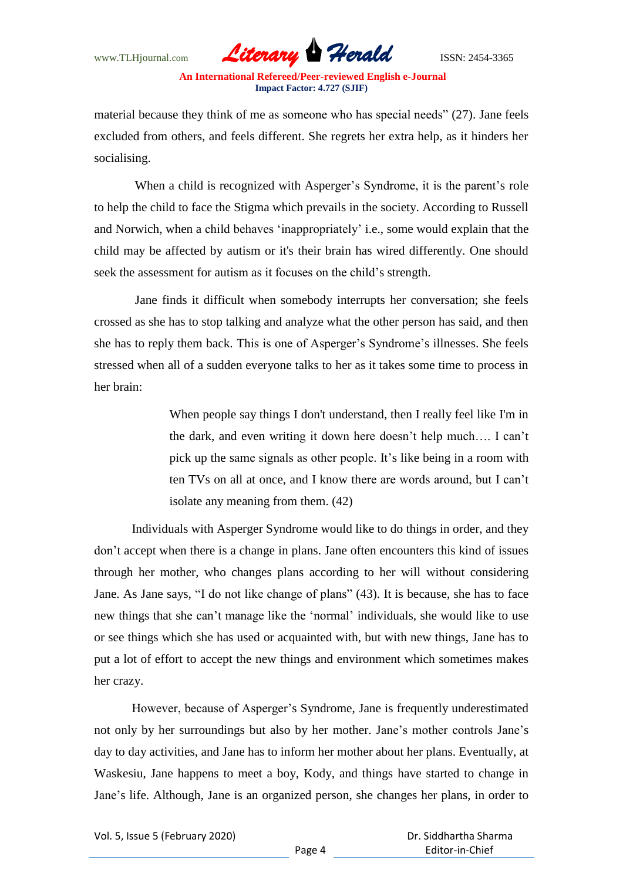

material because they think of me as someone who has special needs" (27). Jane feels excluded from others, and feels different. She regrets her extra help, as it hinders her socialising.

When a child is recognized with Asperger's Syndrome, it is the parent's role to help the child to face the Stigma which prevails in the society. According to Russell and Norwich, when a child behaves "inappropriately" i.e., some would explain that the child may be affected by autism or it's their brain has wired differently. One should seek the assessment for autism as it focuses on the child's strength.

Jane finds it difficult when somebody interrupts her conversation; she feels crossed as she has to stop talking and analyze what the other person has said, and then she has to reply them back. This is one of Asperger"s Syndrome"s illnesses. She feels stressed when all of a sudden everyone talks to her as it takes some time to process in her brain:

> When people say things I don't understand, then I really feel like I'm in the dark, and even writing it down here doesn"t help much…. I can"t pick up the same signals as other people. It's like being in a room with ten TVs on all at once, and I know there are words around, but I can"t isolate any meaning from them. (42)

Individuals with Asperger Syndrome would like to do things in order, and they don"t accept when there is a change in plans. Jane often encounters this kind of issues through her mother, who changes plans according to her will without considering Jane. As Jane says, "I do not like change of plans" (43). It is because, she has to face new things that she can"t manage like the "normal" individuals, she would like to use or see things which she has used or acquainted with, but with new things, Jane has to put a lot of effort to accept the new things and environment which sometimes makes her crazy.

However, because of Asperger"s Syndrome, Jane is frequently underestimated not only by her surroundings but also by her mother. Jane"s mother controls Jane"s day to day activities, and Jane has to inform her mother about her plans. Eventually, at Waskesiu, Jane happens to meet a boy, Kody, and things have started to change in Jane"s life. Although, Jane is an organized person, she changes her plans, in order to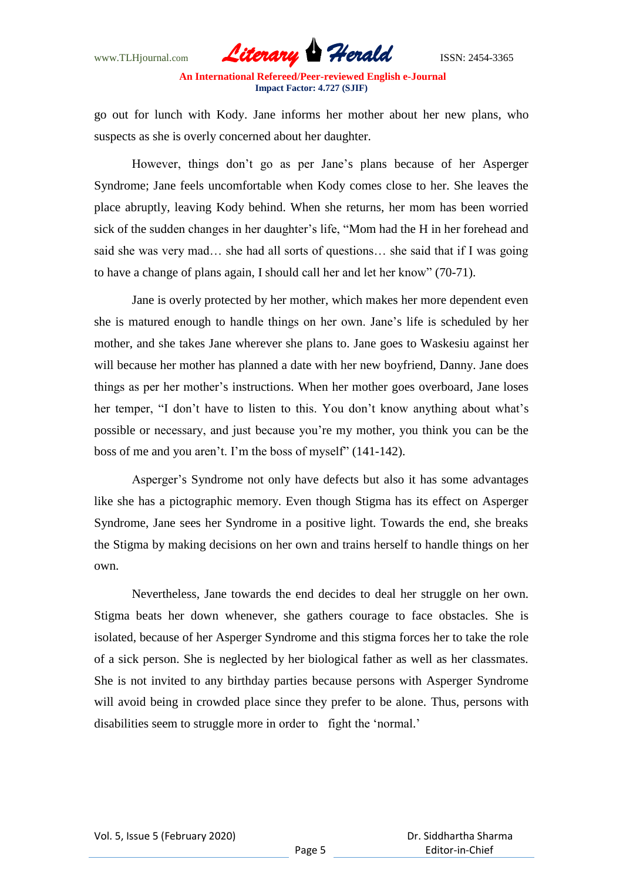www.TLHjournal.com **Literary Herald** ISSN: 2454-3365

**An International Refereed/Peer-reviewed English e-Journal Impact Factor: 4.727 (SJIF)**

go out for lunch with Kody. Jane informs her mother about her new plans, who suspects as she is overly concerned about her daughter.

However, things don"t go as per Jane"s plans because of her Asperger Syndrome; Jane feels uncomfortable when Kody comes close to her. She leaves the place abruptly, leaving Kody behind. When she returns, her mom has been worried sick of the sudden changes in her daughter"s life, "Mom had the H in her forehead and said she was very mad… she had all sorts of questions… she said that if I was going to have a change of plans again, I should call her and let her know" (70-71).

Jane is overly protected by her mother, which makes her more dependent even she is matured enough to handle things on her own. Jane"s life is scheduled by her mother, and she takes Jane wherever she plans to. Jane goes to Waskesiu against her will because her mother has planned a date with her new boyfriend, Danny. Jane does things as per her mother"s instructions. When her mother goes overboard, Jane loses her temper, "I don't have to listen to this. You don't know anything about what's possible or necessary, and just because you"re my mother, you think you can be the boss of me and you aren"t. I"m the boss of myself" (141-142).

Asperger"s Syndrome not only have defects but also it has some advantages like she has a pictographic memory. Even though Stigma has its effect on Asperger Syndrome, Jane sees her Syndrome in a positive light. Towards the end, she breaks the Stigma by making decisions on her own and trains herself to handle things on her own.

Nevertheless, Jane towards the end decides to deal her struggle on her own. Stigma beats her down whenever, she gathers courage to face obstacles. She is isolated, because of her Asperger Syndrome and this stigma forces her to take the role of a sick person. She is neglected by her biological father as well as her classmates. She is not invited to any birthday parties because persons with Asperger Syndrome will avoid being in crowded place since they prefer to be alone. Thus, persons with disabilities seem to struggle more in order to fight the 'normal.'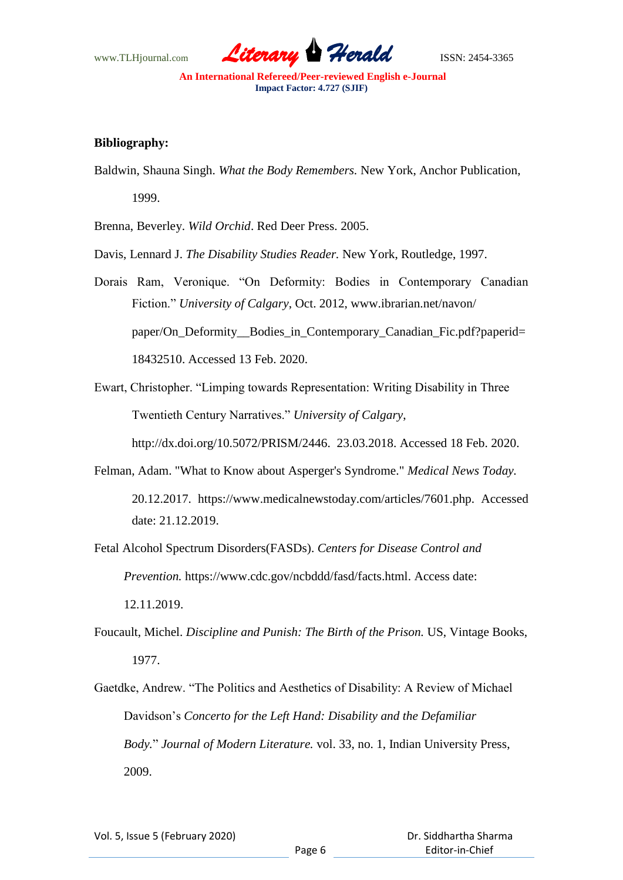www.TLHjournal.com *Literary Herald*ISSN: 2454-3365

#### **Bibliography:**

Baldwin, Shauna Singh. *What the Body Remembers.* New York, Anchor Publication, 1999.

Brenna, Beverley. *Wild Orchid*. Red Deer Press. 2005.

Davis, Lennard J. *The Disability Studies Reader.* New York, Routledge, 1997.

- Dorais Ram, Veronique. "On Deformity: Bodies in Contemporary Canadian Fiction." *University of Calgary*, Oct. 2012, www.ibrarian.net/navon/ paper/On Deformity Bodies in Contemporary Canadian Fic.pdf?paperid= 18432510. Accessed 13 Feb. 2020.
- Ewart, Christopher. "Limping towards Representation: Writing Disability in Three Twentieth Century Narratives." *University of Calgary*,

http://dx.doi.org/10.5072/PRISM/2446. 23.03.2018. Accessed 18 Feb. 2020.

- Felman, Adam. "What to Know about Asperger's Syndrome." *Medical News Today.* 20.12.2017. https://www.medicalnewstoday.com/articles/7601.php. Accessed date: 21.12.2019.
- Fetal Alcohol Spectrum Disorders(FASDs). *Centers for Disease Control and Prevention.* https://www.cdc.gov/ncbddd/fasd/facts.html. Access date: 12.11.2019.
- Foucault, Michel. *Discipline and Punish: The Birth of the Prison.* US, Vintage Books, 1977.
- Gaetdke, Andrew. "The Politics and Aesthetics of Disability: A Review of Michael Davidson"s *Concerto for the Left Hand: Disability and the Defamiliar Body.*" *Journal of Modern Literature.* vol. 33, no. 1, Indian University Press, 2009.